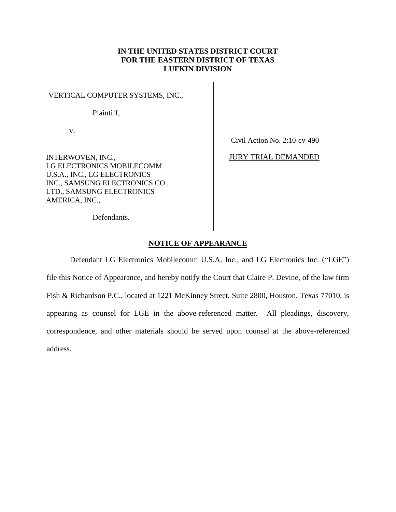## **IN THE UNITED STATES DISTRICT COURT FOR THE EASTERN DISTRICT OF TEXAS LUFKIN DIVISION**

VERTICAL COMPUTER SYSTEMS, INC.,

Plaintiff,

v.

INTERWOVEN, INC., LG ELECTRONICS MOBILECOMM U.S.A., INC., LG ELECTRONICS INC., SAMSUNG ELECTRONICS CO., LTD., SAMSUNG ELECTRONICS AMERICA, INC.,

Civil Action No. 2:10-cv-490

JURY TRIAL DEMANDED

Defendants.

## **NOTICE OF APPEARANCE**

Defendant LG Electronics Mobilecomm U.S.A. Inc., and LG Electronics Inc. ("LGE") file this Notice of Appearance, and hereby notify the Court that Claire P. Devine, of the law firm Fish & Richardson P.C., located at 1221 McKinney Street, Suite 2800, Houston, Texas 77010, is appearing as counsel for LGE in the above-referenced matter. All pleadings, discovery, correspondence, and other materials should be served upon counsel at the above-referenced address.